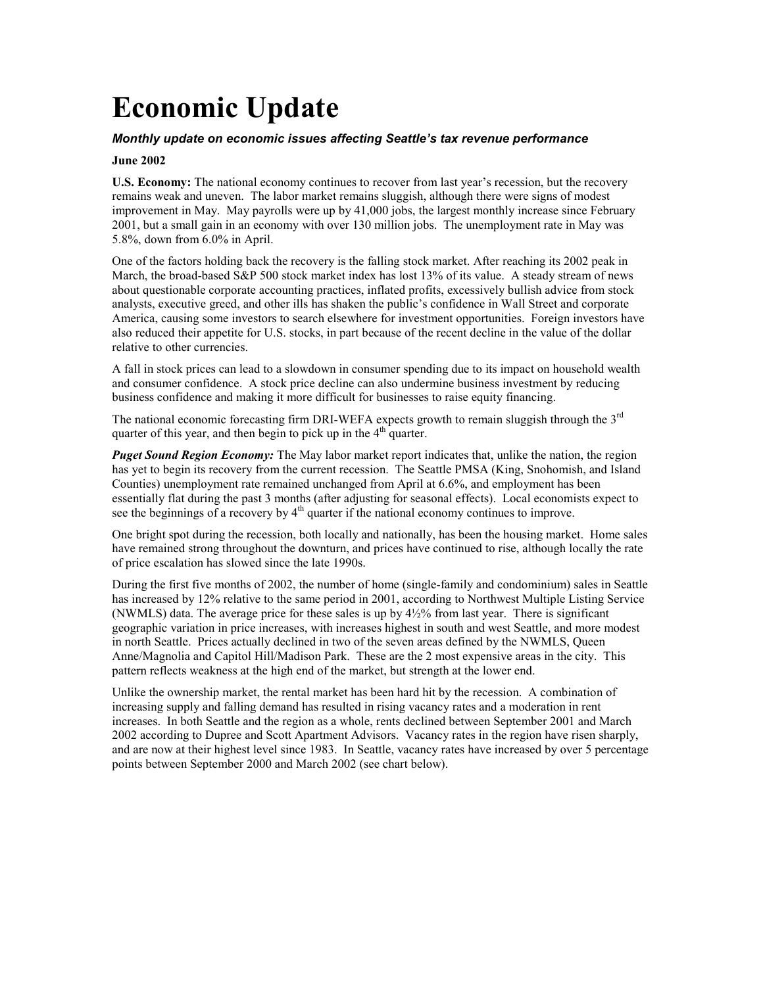# **Economic Update**

### *Monthly update on economic issues affecting Seattle's tax revenue performance*

#### **June 2002**

U.S. Economy: The national economy continues to recover from last year's recession, but the recovery remains weak and uneven. The labor market remains sluggish, although there were signs of modest improvement in May. May payrolls were up by 41,000 jobs, the largest monthly increase since February 2001, but a small gain in an economy with over 130 million jobs. The unemployment rate in May was 5.8%, down from 6.0% in April.

One of the factors holding back the recovery is the falling stock market. After reaching its 2002 peak in March, the broad-based S&P 500 stock market index has lost 13% of its value. A steady stream of news about questionable corporate accounting practices, inflated profits, excessively bullish advice from stock analysts, executive greed, and other ills has shaken the public's confidence in Wall Street and corporate America, causing some investors to search elsewhere for investment opportunities. Foreign investors have also reduced their appetite for U.S. stocks, in part because of the recent decline in the value of the dollar relative to other currencies.

A fall in stock prices can lead to a slowdown in consumer spending due to its impact on household wealth and consumer confidence. A stock price decline can also undermine business investment by reducing business confidence and making it more difficult for businesses to raise equity financing.

The national economic forecasting firm DRI-WEFA expects growth to remain sluggish through the 3<sup>rd</sup> quarter of this year, and then begin to pick up in the  $4<sup>th</sup>$  quarter.

*Puget Sound Region Economy:* The May labor market report indicates that, unlike the nation, the region has yet to begin its recovery from the current recession. The Seattle PMSA (King, Snohomish, and Island Counties) unemployment rate remained unchanged from April at 6.6%, and employment has been essentially flat during the past 3 months (after adjusting for seasonal effects). Local economists expect to see the beginnings of a recovery by  $4<sup>th</sup>$  quarter if the national economy continues to improve.

One bright spot during the recession, both locally and nationally, has been the housing market. Home sales have remained strong throughout the downturn, and prices have continued to rise, although locally the rate of price escalation has slowed since the late 1990s.

During the first five months of 2002, the number of home (single-family and condominium) sales in Seattle has increased by 12% relative to the same period in 2001, according to Northwest Multiple Listing Service (NWMLS) data. The average price for these sales is up by  $4\frac{1}{2}\%$  from last year. There is significant geographic variation in price increases, with increases highest in south and west Seattle, and more modest in north Seattle. Prices actually declined in two of the seven areas defined by the NWMLS, Queen Anne/Magnolia and Capitol Hill/Madison Park. These are the 2 most expensive areas in the city. This pattern reflects weakness at the high end of the market, but strength at the lower end.

Unlike the ownership market, the rental market has been hard hit by the recession. A combination of increasing supply and falling demand has resulted in rising vacancy rates and a moderation in rent increases. In both Seattle and the region as a whole, rents declined between September 2001 and March 2002 according to Dupree and Scott Apartment Advisors. Vacancy rates in the region have risen sharply, and are now at their highest level since 1983. In Seattle, vacancy rates have increased by over 5 percentage points between September 2000 and March 2002 (see chart below).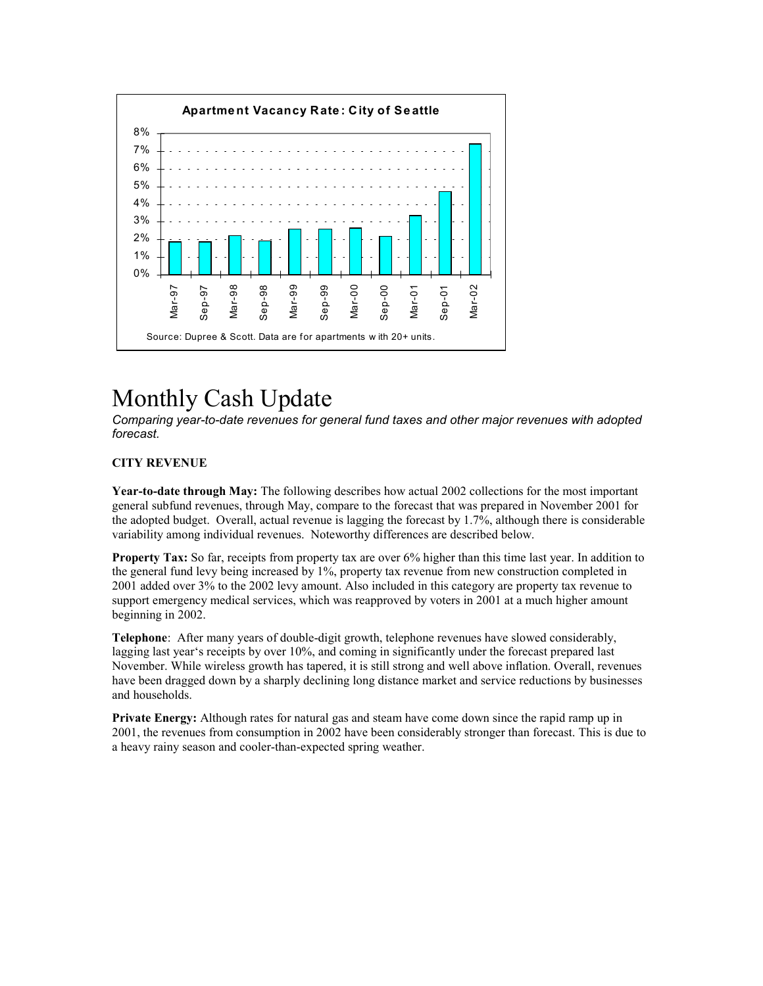

# Monthly Cash Update

*Comparing year-to-date revenues for general fund taxes and other major revenues with adopted forecast.*

## **CITY REVENUE**

**Year-to-date through May:** The following describes how actual 2002 collections for the most important general subfund revenues, through May, compare to the forecast that was prepared in November 2001 for the adopted budget. Overall, actual revenue is lagging the forecast by 1.7%, although there is considerable variability among individual revenues. Noteworthy differences are described below.

**Property Tax:** So far, receipts from property tax are over 6% higher than this time last year. In addition to the general fund levy being increased by 1%, property tax revenue from new construction completed in 2001 added over 3% to the 2002 levy amount. Also included in this category are property tax revenue to support emergency medical services, which was reapproved by voters in 2001 at a much higher amount beginning in 2002.

**Telephone**: After many years of double-digit growth, telephone revenues have slowed considerably, lagging last year's receipts by over 10%, and coming in significantly under the forecast prepared last November. While wireless growth has tapered, it is still strong and well above inflation. Overall, revenues have been dragged down by a sharply declining long distance market and service reductions by businesses and households.

**Private Energy:** Although rates for natural gas and steam have come down since the rapid ramp up in 2001, the revenues from consumption in 2002 have been considerably stronger than forecast. This is due to a heavy rainy season and cooler-than-expected spring weather.